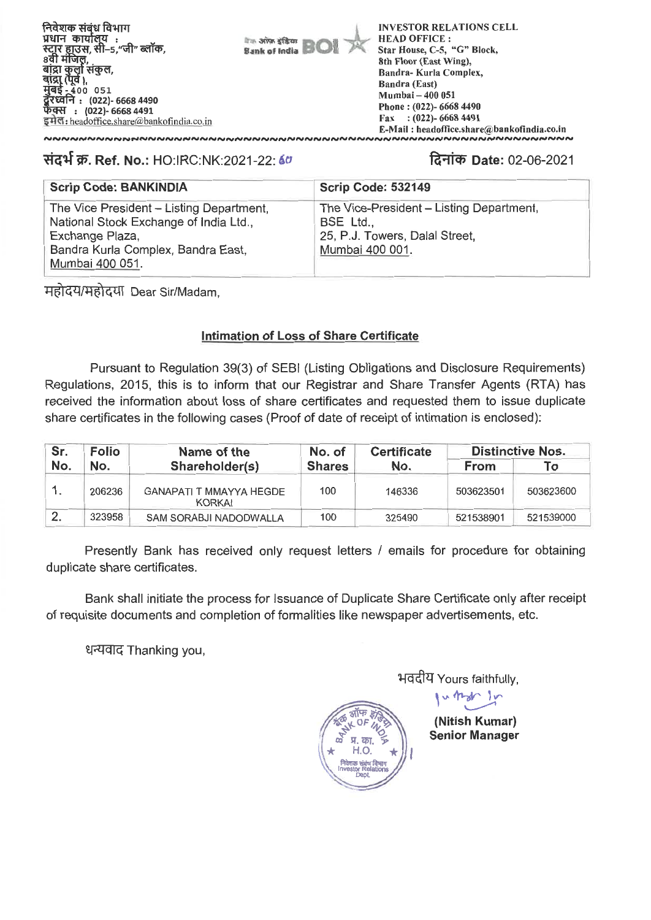निवेशक संबंध विभाग प्रधान कार्यालय : स्टार हाउस, सी–5,''जी'' ब्लॉक,<br>8वी मंजिल. बाद्रा कुला सकुल, **),**   $-400$  051 **: (022)- 6668 4490 : (022)- 6668 4491**  इमेल: headoffice.share@bankofindia.co.in

**Bank of India BOI Itas arios sfitar** 

INVESTOR RELATIONS CELL HEAD OFFICE : Star House, C-5, "G" Block. 8th Floor (East Wing), Bandra- Kurla Complex, Bandra (East) Mumbai — 400 051 Phone : (022)- 6668 4490 Fax : (022)- 6668 4491 E-Mail : headoffice.share@bankofindia.co.in

# **TOT W. Ref. No.:** HO:IRC:NK:2021-22: 60

,<br>www.www.www.www.

# **ra-ilct) Date:** 02-06-2021

| <b>Scrip Code: BANKINDIA</b>                                                                                                                                   | <b>Scrip Code: 532149</b>                                                                                  |
|----------------------------------------------------------------------------------------------------------------------------------------------------------------|------------------------------------------------------------------------------------------------------------|
| The Vice President - Listing Department,<br>National Stock Exchange of India Ltd.,<br>Exchange Plaza,<br>Bandra Kurla Complex, Bandra East,<br>Mumbai 400 051. | The Vice-President - Listing Department,<br>BSE Ltd.,<br>25, P.J. Towers, Dalal Street,<br>Mumbai 400 001. |

महोदय/महोदया Dear Sir/Madam,

# **Intimation of Loss of Share Certificate**

Pursuant to Regulation 39(3) of SEBI (Listing Obligations and Disclosure Requirements) Regulations, 2015, this is to inform that our Registrar and Share Transfer Agents (RTA) has received the information about loss of share certificates and requested them to issue duplicate share certificates in the following cases (Proof of date of receipt of intimation is enclosed):

| Folio<br>Sr.<br>No.<br>No. |                | Name of the                                     | No. of | <b>Certificate</b> | <b>Distinctive Nos.</b> |           |
|----------------------------|----------------|-------------------------------------------------|--------|--------------------|-------------------------|-----------|
|                            | Shareholder(s) | <b>Shares</b>                                   | No.    | <b>From</b>        | Γо                      |           |
|                            | 206236         | <b>GANAPATI T MMAYYA HEGDE</b><br><b>KORKAI</b> | 100    | 146336             | 503623501               | 503623600 |
| $\overline{2}$ .           | 323958         | SAM SORABJI NADODWALLA                          | 100    | 325490             | 521538901               | 521539000 |

Presently Bank has received only request letters / emails for procedure for obtaining duplicate share certificates.

Bank shall initiate the process for Issuance of Duplicate Share Certificate only after receipt of requisite documents and completion of formalities like newspaper advertisements, etc.

धन्यवाद Thanking you,



भवदीय Yours faithfully,

**V' 11'24f.'** *tes* 

**(Nitish Kumar) Senior Manager**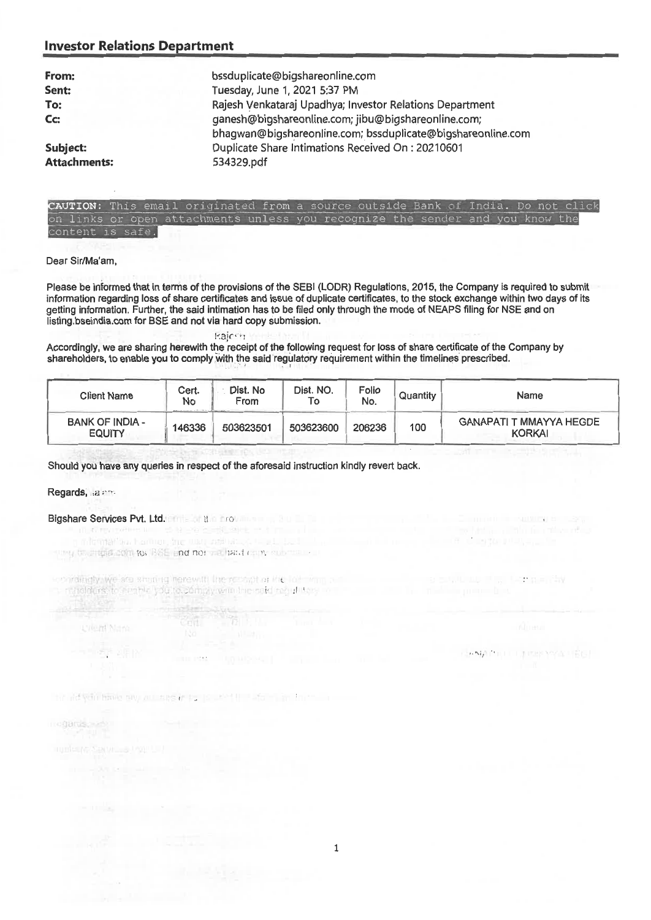## **Investor Relations Department**

| From:                           | bssduplicate@bigshareonline.com                                                                                    |
|---------------------------------|--------------------------------------------------------------------------------------------------------------------|
| Sent:                           | Tuesday, June 1, 2021 5:37 PM                                                                                      |
| To:                             | Rajesh Venkataraj Upadhya; Investor Relations Department                                                           |
| Cc:                             | ganesh@bigshareonline.com; jibu@bigshareonline.com;<br>bhagwan@bigshareonline.com; bssduplicate@bigshareonline.com |
| Subject:<br><b>Attachments:</b> | Duplicate Share Intimations Received On: 20210601<br>534329.pdf                                                    |
|                                 |                                                                                                                    |



#### Dear Sir/Ma'am,

Please be informed that in terms of the provisions of the SEBI (LODR) Regulations, 2015, the Company is required to submit information regarding loss of share certificates and issue of duplicate certificates, to the stock exchange within two days of its getting information. Further, the said intimation has to be filed only through the mode of NEAPS filing for NSE and on listing.bseindia.com for BSE and not via hard copy submission.

#### kajcen

Accordingly, we are sharing herewith the receipt of the following request for loss of share certificate of the Company by shareholders, to enable you to comply with the said regulatory requirement within the timelines prescribed.

| <b>Client Name</b>                      | Cert.<br>No<br>APPROXIMATELY ALTERNATION CONTINUES. | Dist. No<br>From<br>All hanges the party and | Dist. NO.<br>To | Folio<br>No. | Quantity | Name                                            |
|-----------------------------------------|-----------------------------------------------------|----------------------------------------------|-----------------|--------------|----------|-------------------------------------------------|
| <b>BANK OF INDIA -</b><br><b>EQUITY</b> | 146336                                              | 503623501                                    | 503623600       | 206236       | 100      | <b>GANAPATI T MMAYYA HEGDE</b><br><b>KORKAI</b> |

Should you have any queries in respect of the aforesaid instruction kindly revert back.

Regards, a rm

# Bigshare Services Pvt. Ltd. **Endeal the product of the Services Pvt.** Ltd. **Endeal the Services**

ing to stidia com to BSE and nor hall tard convictions.

containally we are shorting herewitt the recorpt of the Tall Pilm public contains the count of the Contains the Pilm notiolders, to earn the you to comply with the said regulation in

**CONTRACTOR** 

the net yeth transport was to pay as well to the most in the to-

**DAMA TELL LIBRARY AT ISLE** 

**UVent Nam** 

**THE SEAR**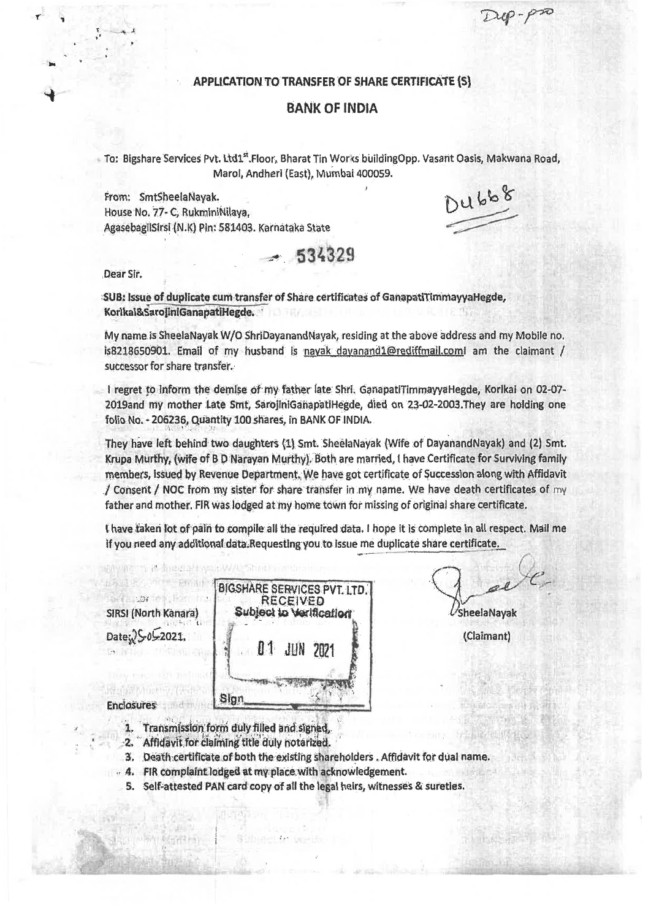### **APPLICATION TO TRANSFER OF SHARE CERTIFICATE (S)**

## **BANK OF INDIA**

To: Bigshare Services Pvt. Ltd1<sup>st</sup>. Floor, Bharat Tin Works buildingOpp. Vasant Oasis, Makwana Road, Marol, Andheri (East), Mumbai 400059. DU668

From: SmtSheelaNayak. House No. 77- C, RuktniniNilaya, AgasebagliSirsi (N.K) Pin: 581403. Karnataka State

**534329** 

Dear Sir.

 $x_1 = x_2$ 

**1r** 

SUB: Issue of duplicate cum transfer of Share certificates of GanapatiTimmayyaHegde, Korlkal&SarojiniGanapatiHegde.

My name is SheelaNayak W/0 ShriDayanandNayak, residing at the above address and my Mobile no. is8218650901. Email of my husband is nayak dayanand1@rediffmail.coml am the claimant / successor for share transfer.

I regret to inform the demise of my father late Shri, GanapatiTimmayyaHegde, Korlkai on 02-07-2019and my mother Late Smt, SarojiniGanapatiHegde, died on 23-02-2003. They are holding one folio No. - 206236, Quantity 100 shares, in BANK OF INDIA.

They have left behind two daughters (1) Smt. SheelaNayak (Wife of DayanandNayak) and (2) Smt. Krupa Murthy, (wife of B D Narayan Murthy). Both are married, I have Certificate for Surviving family members, issued by Revenue Department. We have got certificate of Succession along with Affidavit / Consent / NOC from my sister for share transfer in my name. We have death certificates of my father and mother. FIR was lodged at my home town for missing of original share certificate.

I have taken lot of pain to compile all the required data, I hope it is complete in all respect. Mail me if you need any additional data. Requesting you to issue me duplicate share certificate.

the correspondence SIRSI (North Kanara) Date: 36052021.

Krajai Minthy, (wite ai

1500000000

- Problet

|  |             | <b>BIGSHARE SERVICES PVT. LTD.</b><br>RECEIVED<br>Subject to Verification |  |
|--|-------------|---------------------------------------------------------------------------|--|
|  | 01 JUN 2021 |                                                                           |  |
|  |             |                                                                           |  |

SheelaNayak

(Claimant)

**Aluther** 

- Enclosures<sup>t</sup> and the sea
	- 1. Transmission form duly filled and signed.
	- -2. Affidavit for claiming title duly notarized.
	- **3.** Death certificate of both the existing shareholders . Affidavit for dual name.
- $4.$  FIR complaint lodged at my place with acknowledgement.

Sidnasetto Gua

S. **Self;attested PAU card copy** of all the **legal heirs, witnesses & sureties.**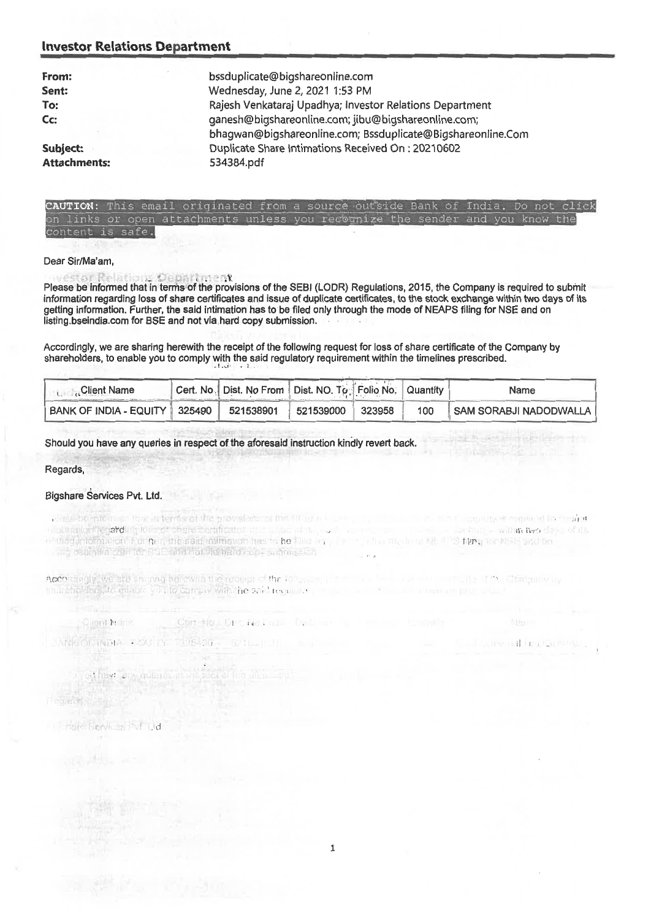#### **Investor Relations Department**

| From:               | bssduplicate@bigshareonline.com                                                                                    |
|---------------------|--------------------------------------------------------------------------------------------------------------------|
| Sent:               | Wednesday, June 2, 2021 1:53 PM                                                                                    |
| To:                 | Rajesh Venkataraj Upadhya; Investor Relations Department                                                           |
| Cc:                 | ganesh@bigshareonline.com; jibu@bigshareonline.com;<br>bhagwan@bigshareonline.com; Bssduplicate@Bigshareonline.Com |
| Subject:            | Duplicate Share Intimations Received On: 20210602                                                                  |
| <b>Attachments:</b> | 534384.pdf                                                                                                         |



#### Dear Sir/Ma'am,

#### vestor Relations Department

Please be informed that in terms of the provisions of the SEBI (LODR) Regulations, 2015, the Company is required to submit information regarding loss of share certificates and issue of duplicate certificates, to the stock exchange within two days of its getting information. Further, the said intimation has to be filed only through the mode of NEAPS filing for NSE and on listing.bseindia.com for BSE and not via hard copy submission.

Accordingly, we are sharing herewith the receipt of the following request for loss of share certificate of the Company by shareholders, to enable you to comply with the said regulatory requirement within the timelines prescribed.

| ∴ Client Name                   | [Cert. No. Dist. No From   Dist. NO. To. Folio No.   Quantity |           |        |     | Name                   |
|---------------------------------|---------------------------------------------------------------|-----------|--------|-----|------------------------|
| BANK OF INDIA - EQUITY   325490 | 521538901                                                     | 521539000 | 323958 | 100 | SAM SORABJI NADODWALLA |

#### Should you have any queries in respect of the aforesaid instruction kindly revert back.

Regards,

#### Bigshare Services Pvt. Ltd.

right be mioni en road in terras of the provision for the fill for a new **E cruitive required la France** a punction regarding to is of charactering to start the at the control avanne within two days of its esting information. Fur her, the said infimation has to be filed in a state of the state of the state of the state of the submission. mention NE 179 fains for NSE and on

TIGHT THAT LET IT MAY IT

Accordingly, we site shorting herewith the receipt of the following contact the contact to the multistation of the Computivity tinuisholders, to enable visito comply with the said terror up ...

Client Name Cert-No. Dr., 40 Liuk **ANKIOF INDIA - FOU TY**  $775 - 77$ 

od have any quant Finglands Com

Ill note: Services PVF Lid